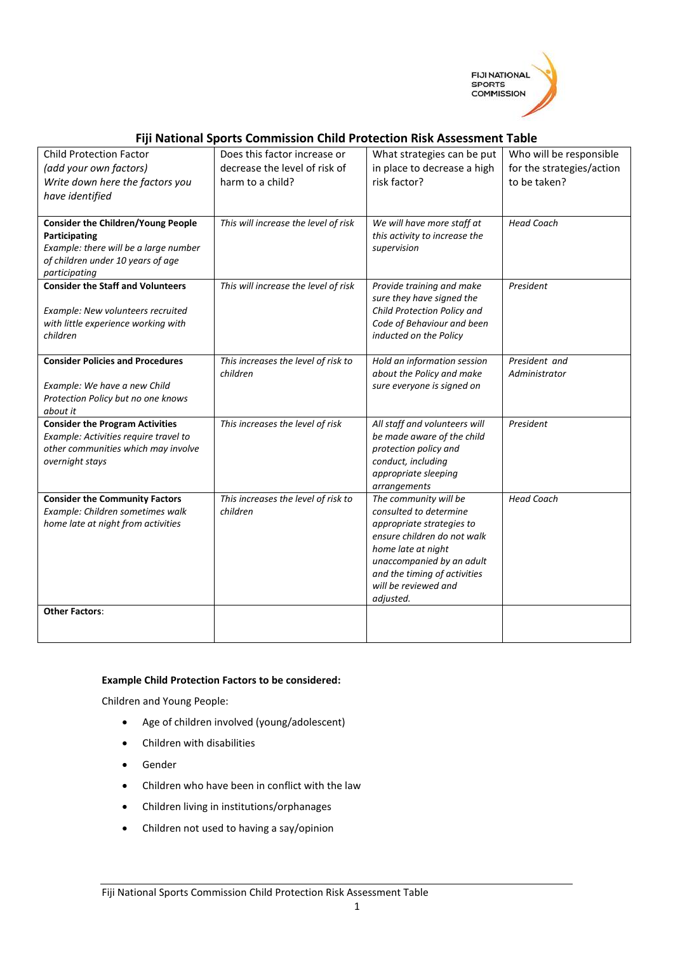

## **Fiji National Sports Commission Child Protection Risk Assessment Table**

| <b>Child Protection Factor</b><br>(add your own factors)<br>Write down here the factors you<br>have identified                                            | Does this factor increase or<br>decrease the level of risk of<br>harm to a child? | What strategies can be put<br>in place to decrease a high<br>risk factor?                                                                                                                                                           | Who will be responsible<br>for the strategies/action<br>to be taken? |
|-----------------------------------------------------------------------------------------------------------------------------------------------------------|-----------------------------------------------------------------------------------|-------------------------------------------------------------------------------------------------------------------------------------------------------------------------------------------------------------------------------------|----------------------------------------------------------------------|
| <b>Consider the Children/Young People</b><br>Participating<br>Example: there will be a large number<br>of children under 10 years of age<br>participating | This will increase the level of risk                                              | We will have more staff at<br>this activity to increase the<br>supervision                                                                                                                                                          | <b>Head Coach</b>                                                    |
| <b>Consider the Staff and Volunteers</b><br>Example: New volunteers recruited<br>with little experience working with<br>children                          | This will increase the level of risk                                              | Provide training and make<br>sure they have signed the<br>Child Protection Policy and<br>Code of Behaviour and been<br>inducted on the Policy                                                                                       | President                                                            |
| <b>Consider Policies and Procedures</b><br>Example: We have a new Child<br>Protection Policy but no one knows<br>about it                                 | This increases the level of risk to<br>children                                   | Hold an information session<br>about the Policy and make<br>sure everyone is signed on                                                                                                                                              | President and<br>Administrator                                       |
| <b>Consider the Program Activities</b><br>Example: Activities require travel to<br>other communities which may involve<br>overnight stays                 | This increases the level of risk                                                  | All staff and volunteers will<br>be made aware of the child<br>protection policy and<br>conduct, including<br>appropriate sleeping<br>arrangements                                                                                  | President                                                            |
| <b>Consider the Community Factors</b><br>Example: Children sometimes walk<br>home late at night from activities                                           | This increases the level of risk to<br>children                                   | The community will be<br>consulted to determine<br>appropriate strategies to<br>ensure children do not walk<br>home late at night<br>unaccompanied by an adult<br>and the timing of activities<br>will be reviewed and<br>adjusted. | <b>Head Coach</b>                                                    |
| <b>Other Factors:</b>                                                                                                                                     |                                                                                   |                                                                                                                                                                                                                                     |                                                                      |

## **Example Child Protection Factors to be considered:**

Children and Young People:

- Age of children involved (young/adolescent)
- Children with disabilities
- Gender
- Children who have been in conflict with the law
- Children living in institutions/orphanages
- Children not used to having a say/opinion